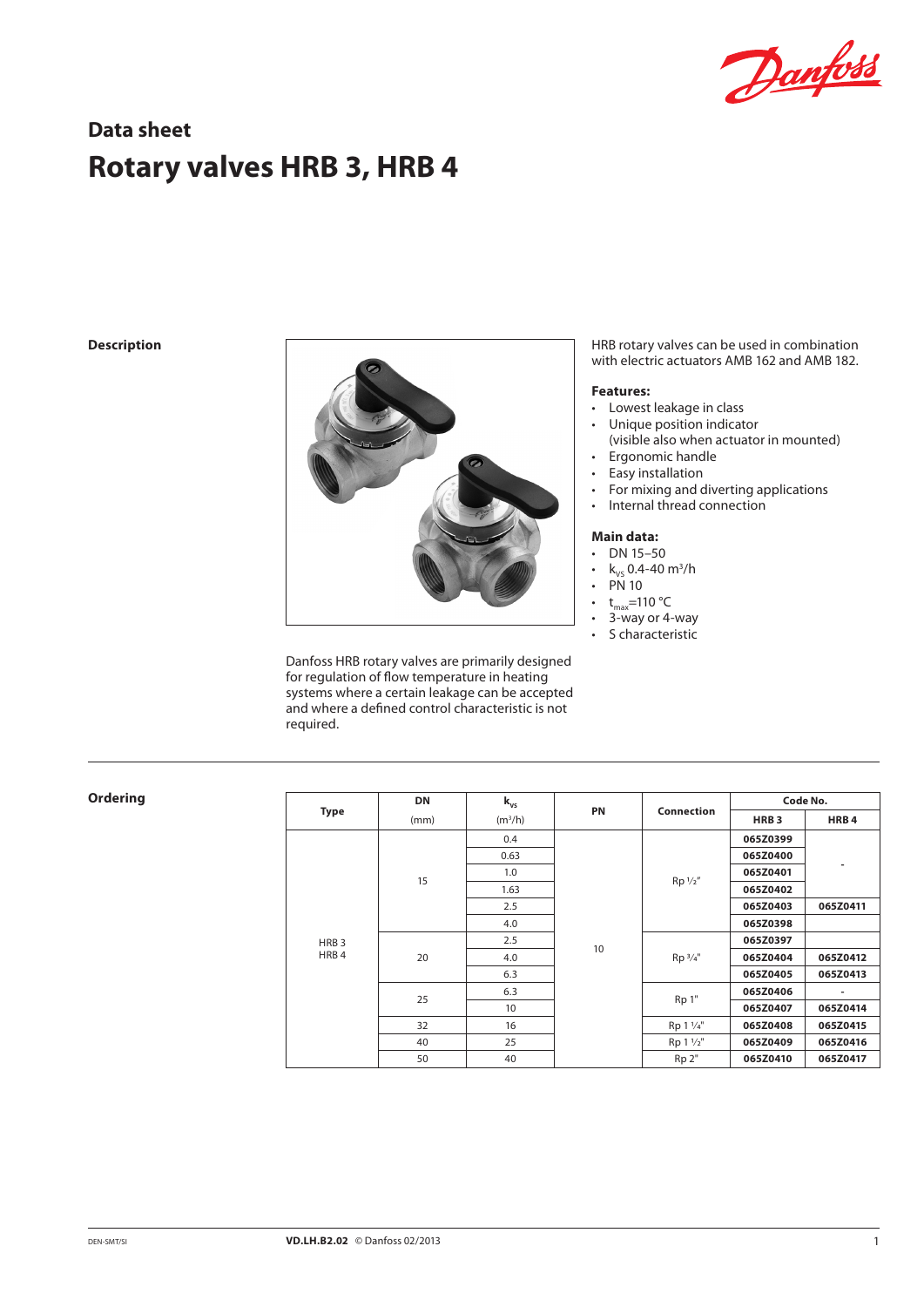

# **Data sheet Rotary valves HRB 3, HRB 4**

### **Description**



Danfoss HRB rotary valves are primarily designed for regulation of flow temperature in heating systems where a certain leakage can be accepted and where a defined control characteristic is not required.

HRB rotary valves can be used in combination with electric actuators AMB 162 and AMB 182.

#### **Features:**

- • Lowest leakage in class
- • Unique position indicator
- (visible also when actuator in mounted) • Ergonomic handle
- • Easy installation
- For mixing and diverting applications
- Internal thread connection

#### **Main data:**

- DN 15-50
- $k_{vs}$  0.4-40 m<sup>3</sup>/h
- $\cdot$  PN 10
- $t_{max}$ =110 °C<br>• 3-way or 4-
- 3-way or 4-way
- • S characteristic

|                  | DN   | $k_{vs}$            |    |                  | Code No.         |                  |
|------------------|------|---------------------|----|------------------|------------------|------------------|
| <b>Type</b>      | (mm) | (m <sup>3</sup> /h) | PN | Connection       | HRB <sub>3</sub> | HRB <sub>4</sub> |
|                  |      | $0.4^{\circ}$       | 10 | $Rp \frac{1}{2}$ | 065Z0399         |                  |
|                  |      | 0.63                |    |                  | 065Z0400         |                  |
|                  |      | 1.0                 |    |                  | 065Z0401         | ٠                |
|                  | 15   | 1.63                |    |                  | 065Z0402         |                  |
|                  |      | 2.5                 |    |                  | 065Z0403         | 065Z0411         |
|                  |      | 4.0                 |    |                  | 065Z0398         |                  |
| HRB <sub>3</sub> |      | 2.5                 |    | $Rp^{3}/4"$      | 065Z0397         |                  |
| HRB4             | 20   | 4.0                 |    |                  | 065Z0404         | 065Z0412         |
|                  |      | 6.3                 |    |                  | 065Z0405         | 065Z0413         |
|                  | 25   | 6.3                 |    | Rp 1"            | 065Z0406         | ٠                |
|                  |      | 10                  |    |                  | 065Z0407         | 065Z0414         |
|                  | 32   | 16                  |    | Rp 1 1/4"        | 065Z0408         | 065Z0415         |
|                  | 40   | 25                  |    | Rp 1 1/2"        | 065Z0409         | 065Z0416         |
|                  | 50   | 40                  |    | Rp 2"            | 065Z0410         | 065Z0417         |

### **Ordering**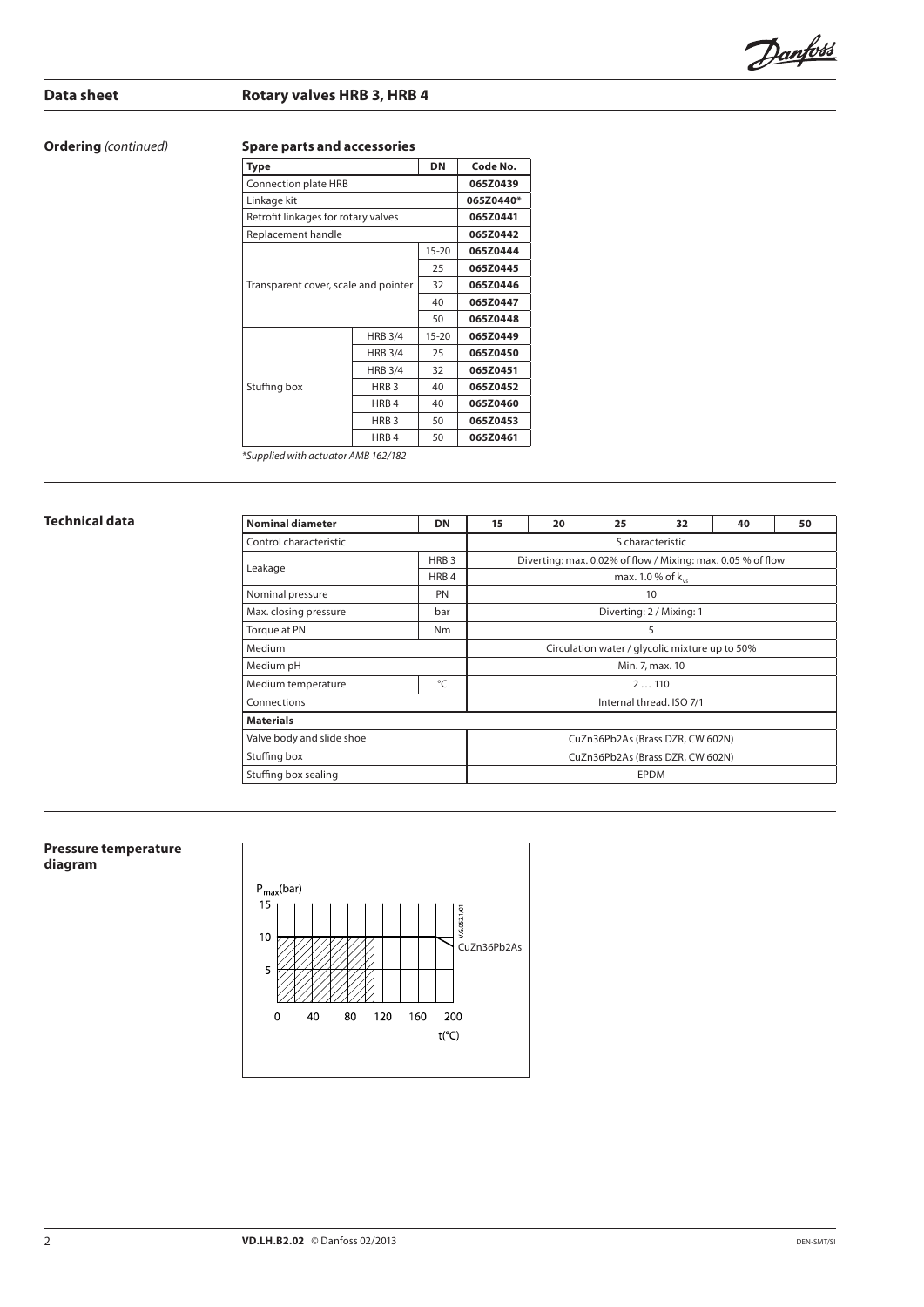Danfoss

### **Data sheet Rotary valves HRB 3, HRB 4**

### **Ordering** *(continued)* **Spare parts and accessories**

| Type                                 | DN               | Code No.  |          |  |
|--------------------------------------|------------------|-----------|----------|--|
| Connection plate HRB                 |                  | 065Z0439  |          |  |
| Linkage kit                          |                  | 065Z0440* |          |  |
| Retrofit linkages for rotary valves  | 065Z0441         |           |          |  |
| Replacement handle                   | 065Z0442         |           |          |  |
|                                      | $15 - 20$        |           |          |  |
|                                      | 25               | 065Z0445  |          |  |
| Transparent cover, scale and pointer | 32               | 065Z0446  |          |  |
|                                      | 40               | 065Z0447  |          |  |
|                                      | 50               | 065Z0448  |          |  |
|                                      | <b>HRB 3/4</b>   | $15 - 20$ | 065Z0449 |  |
|                                      | <b>HRB 3/4</b>   | 25        | 065Z0450 |  |
|                                      | <b>HRB 3/4</b>   | 32        | 065Z0451 |  |
| Stuffing box                         | HRB <sub>3</sub> | 40        | 065Z0452 |  |
|                                      | HRB4             | 40        | 065Z0460 |  |
|                                      | HRB <sub>3</sub> | 50        | 065Z0453 |  |
|                                      | HRB <sub>4</sub> | 50        | 065Z0461 |  |

*\*Supplied with actuator AMB 162/182*

| Technical data | <b>Nominal diameter</b>                    | <b>DN</b>                        | 15                                                          | 20                                             | 25 | 32 | 40 | 50 |  |
|----------------|--------------------------------------------|----------------------------------|-------------------------------------------------------------|------------------------------------------------|----|----|----|----|--|
|                | Control characteristic                     | S characteristic                 |                                                             |                                                |    |    |    |    |  |
|                |                                            | HRB <sub>3</sub>                 | Diverting: max. 0.02% of flow / Mixing: max. 0.05 % of flow |                                                |    |    |    |    |  |
|                | Leakage                                    | HRB4                             | max. 1.0 % of k.                                            |                                                |    |    |    |    |  |
|                | PN<br>Nominal pressure                     |                                  | 10                                                          |                                                |    |    |    |    |  |
|                | Max. closing pressure                      | Diverting: 2 / Mixing: 1         |                                                             |                                                |    |    |    |    |  |
|                | Torque at PN                               | <b>Nm</b>                        | 5                                                           |                                                |    |    |    |    |  |
|                | Medium                                     |                                  |                                                             | Circulation water / glycolic mixture up to 50% |    |    |    |    |  |
|                | Medium pH                                  |                                  |                                                             | Min. 7, max. 10                                |    |    |    |    |  |
|                | $^{\circ}$ C<br>Medium temperature<br>2110 |                                  |                                                             |                                                |    |    |    |    |  |
|                | Connections                                | Internal thread. ISO 7/1         |                                                             |                                                |    |    |    |    |  |
|                | <b>Materials</b>                           |                                  |                                                             |                                                |    |    |    |    |  |
|                | Valve body and slide shoe                  | CuZn36Pb2As (Brass DZR, CW 602N) |                                                             |                                                |    |    |    |    |  |
|                | Stuffing box                               | CuZn36Pb2As (Brass DZR, CW 602N) |                                                             |                                                |    |    |    |    |  |
|                | Stuffing box sealing                       | <b>EPDM</b>                      |                                                             |                                                |    |    |    |    |  |

#### **Pressure temperature diagram**

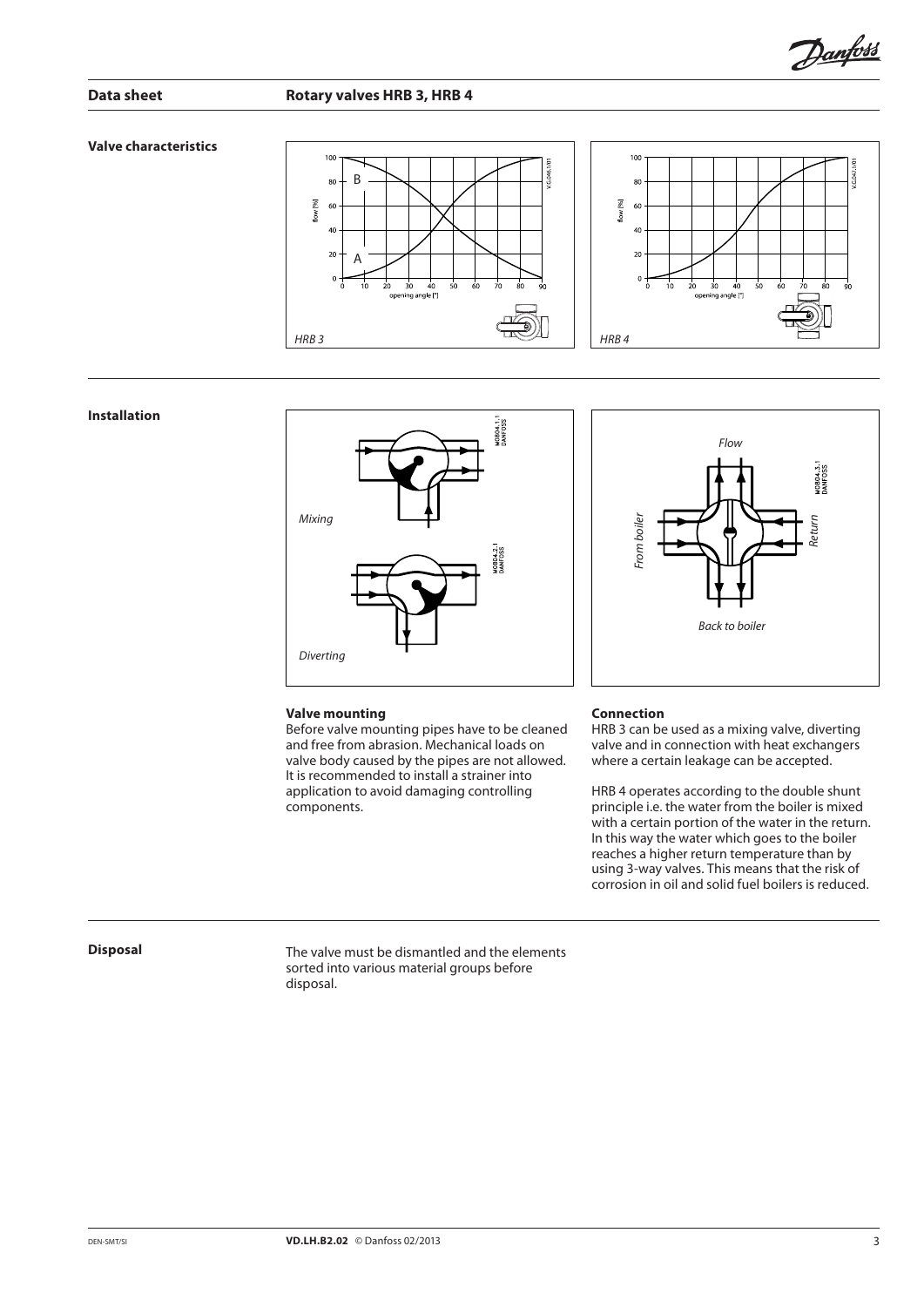

40804.3.1

#### **Data sheet Rotary valves HRB 3, HRB 4**







#### **Installation**



#### **Valve mounting**

Before valve mounting pipes have to be cleaned and free from abrasion. Mechanical loads on valve body caused by the pipes are not allowed. It is recommended to install a strainer into application to avoid damaging controlling components.

#### **Connection**

HRB 3 can be used as a mixing valve, diverting valve and in connection with heat exchangers where a certain leakage can be accepted.

HRB 4 operates according to the double shunt principle i.e. the water from the boiler is mixed with a certain portion of the water in the return. In this way the water which goes to the boiler reaches a higher return temperature than by using 3-way valves. This means that the risk of corrosion in oil and solid fuel boilers is reduced.

#### **Disposal**

The valve must be dismantled and the elements sorted into various material groups before disposal.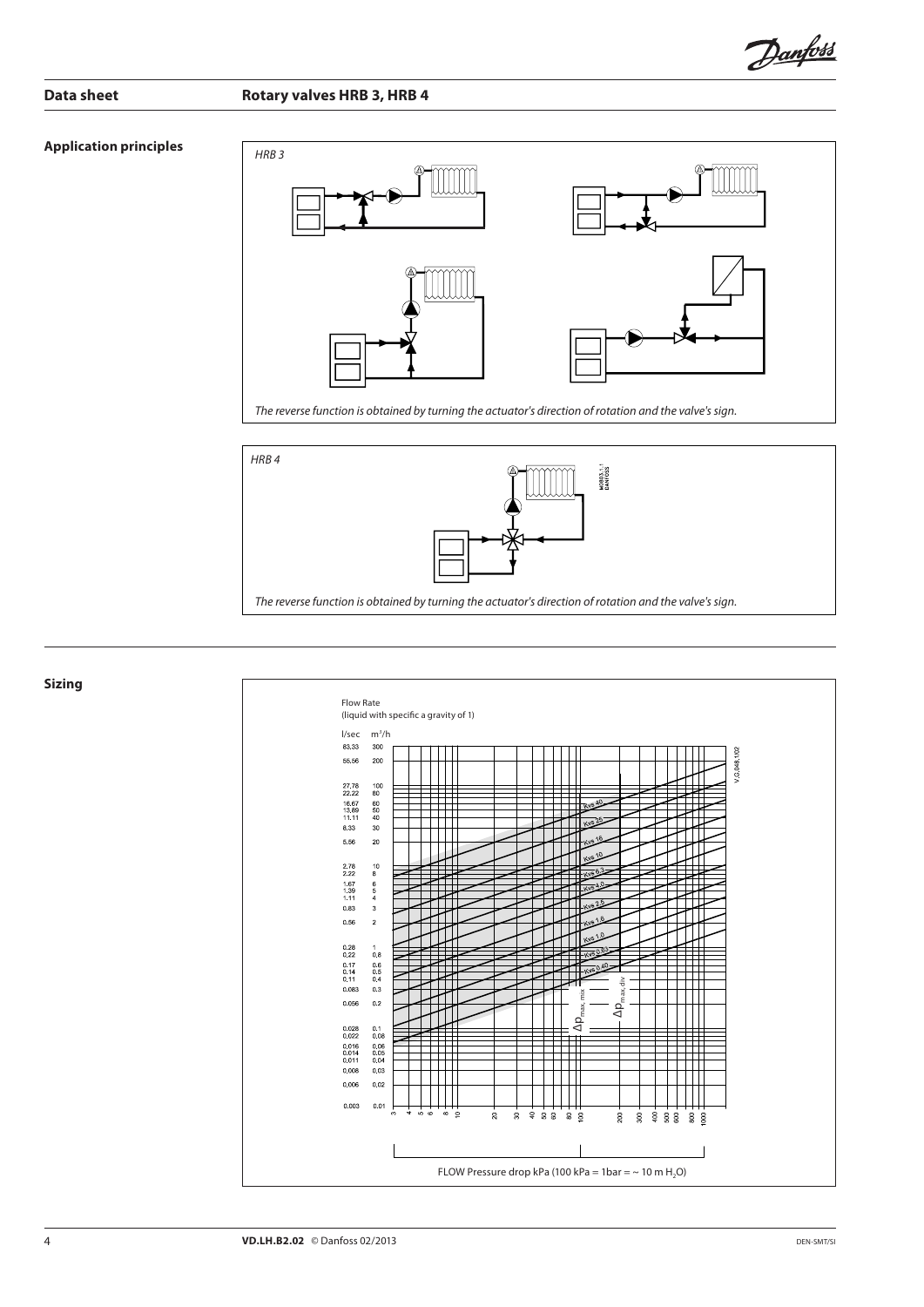Danfoss

**Data sheet Rotary valves HRB 3, HRB 4**

## **Application principles** *HRB 3*





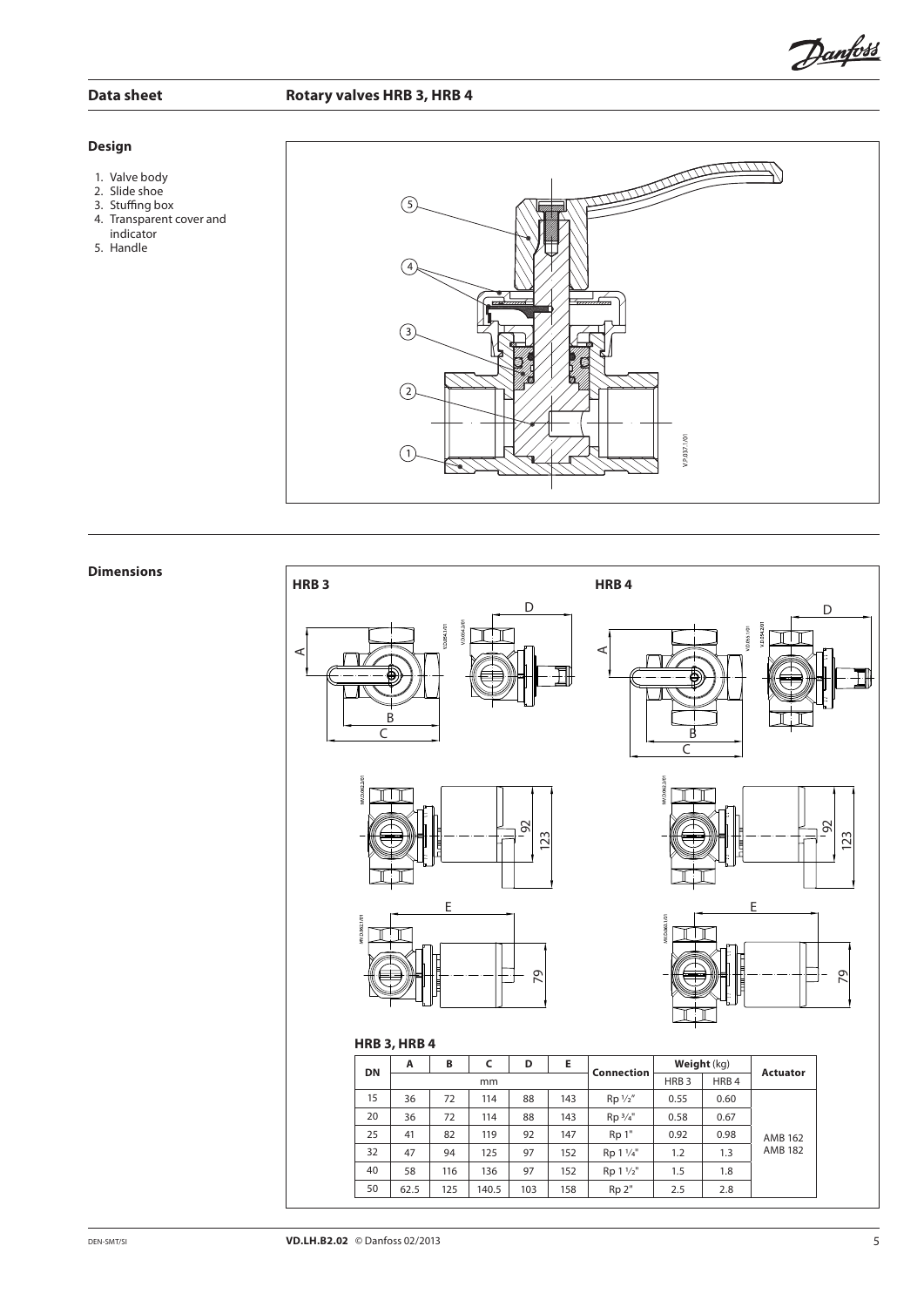Danfoss

### **Data sheet Rotary valves HRB 3, HRB 4**

### **Design**

- 1. Valve body
- 2. Slide shoe
- 3. Stuffing box
- 4. Transparent cover and indicator
- 5. Handle



#### **Dimensions**

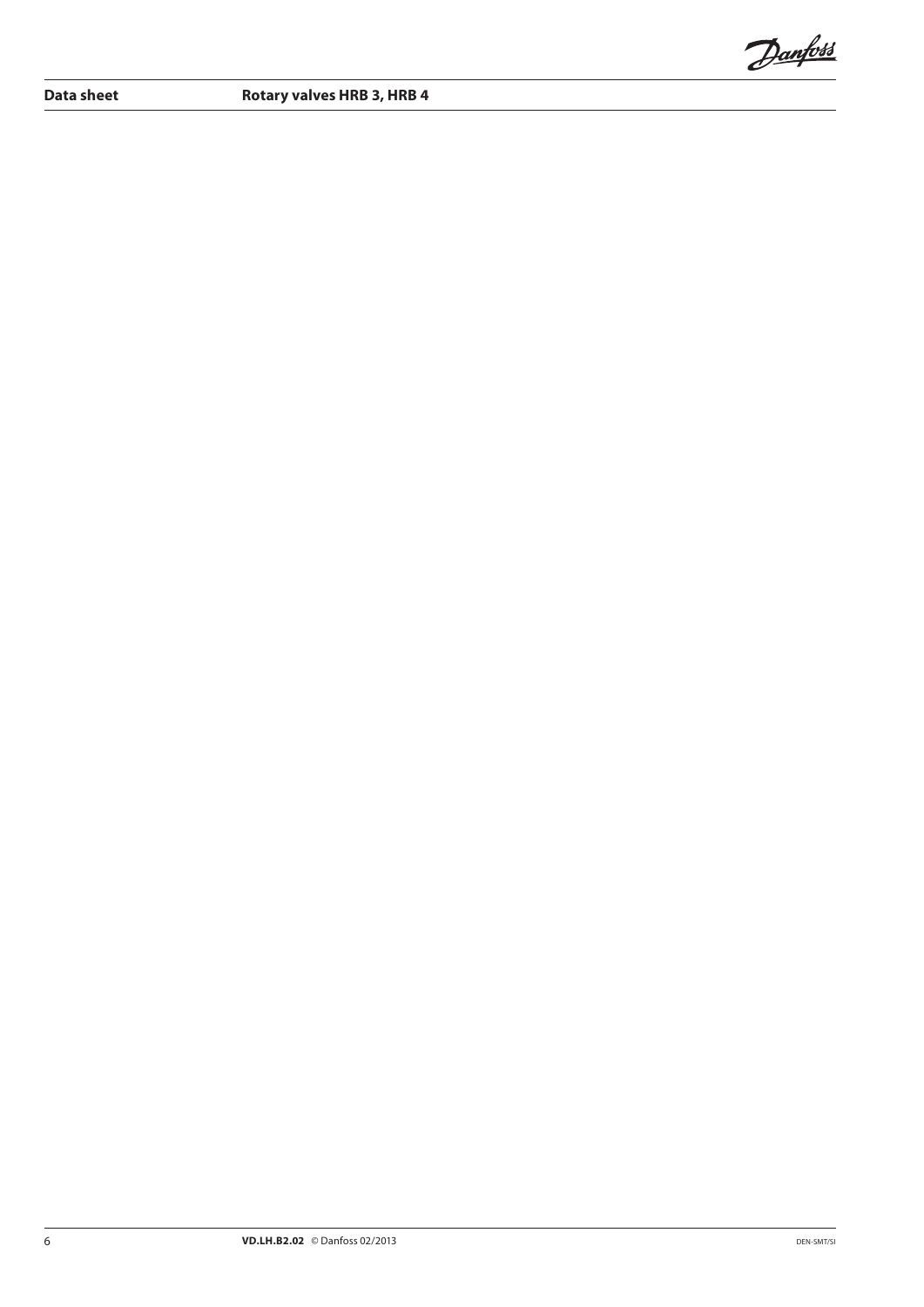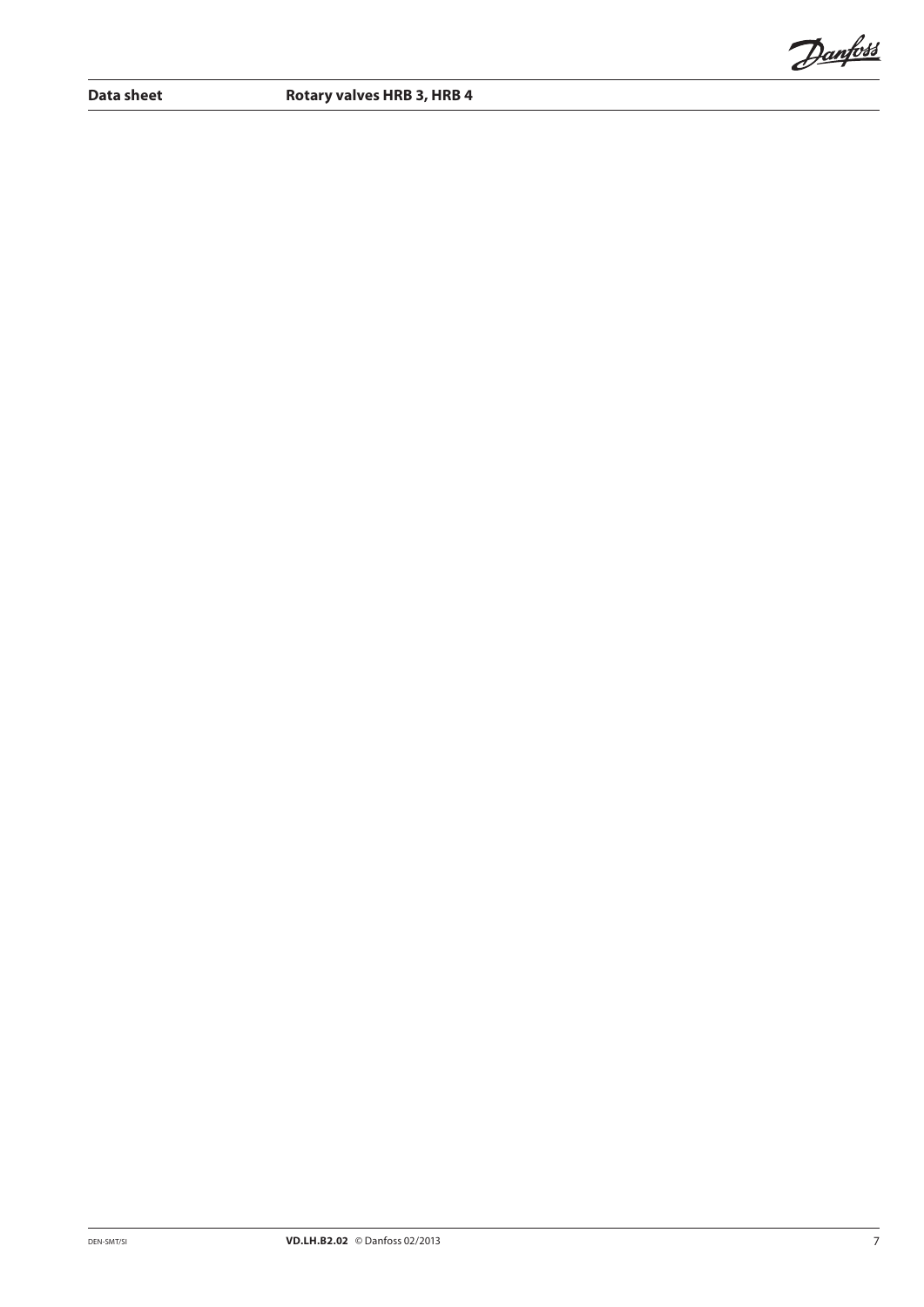Danfoss